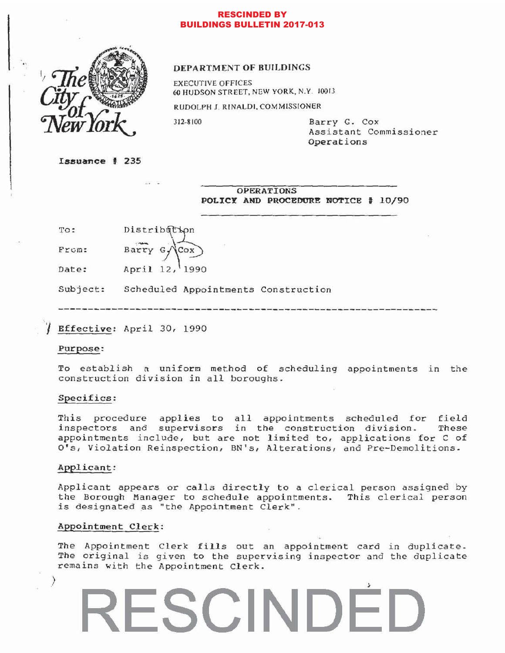# RESCINDED BY BUILDINGS BULLETIN 2017-013



## DEPARTMENT OF BUILDINGS

EXECUTIVE OFFICES 60 HUDSON STREET, NEW YORK, N.Y. 10013

RUDOLPH J. RINALDI, COMMISSIONER

312-8100 Barry G. Cox Assistant Commissioner Operations

 $Issuance$   $#$  235

OPERATIONS POLICY AND PROCEDURE NOTICE # 10/90

To: Distribution

From: Barry  $G$  $Cox$ 

Date: April 12, 1990

Subject: Scheduled Appointments Construction

**Effective: April 30, 1990** 

### Purpose:

To establish a uniform method of scheduling appointments in the construction division in *all* boroughs.

### Specifics:

This procedure applies to all appointments scheduled for field<br>inspectors and supervisors in the construction division. These inspectors and supervisors in the construction division. appointments include, but are not limited to, applications for C of O's, Violation Reinspection, SN's, Alterations, and Pre-Demolitions.

### Applicant:

)

Applicant appears or calls directly to a clerical person assigned by the Borough Manager to schedule appointments. This clerical person is designated as "the Appointment Clerk".

# Appointment *Clerk:*

The Appointment Clerk fills out an appointment card in duplicate. The original is given to the supervising inspector and the duplicate remains with the Appointment Clerk.

**ESCINDE**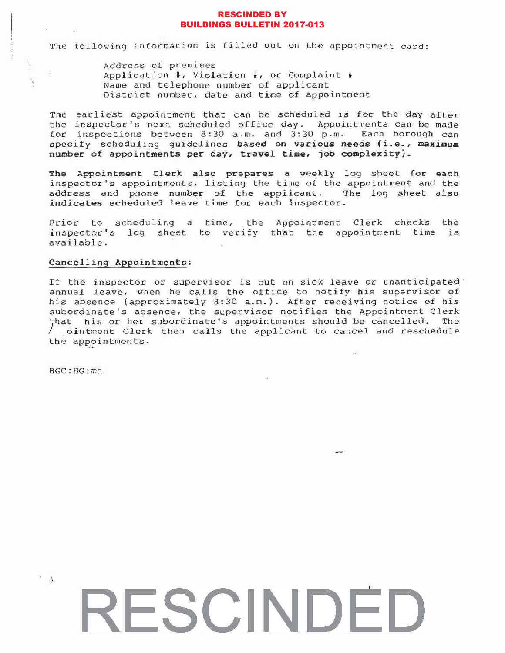# RESCINDED BY BUILDINGS BULLETIN 2017-013

The following information is filled out on the appointment card:

Address of premises Application #, Violation #, or Complaint # Name and telephone number of applicant District number, date and time of appointment

The earliest appointment that can be scheduled is for the day after the inspector's next scheduled office day. Appointments can be made for inspections between 8:30 a.m. and 3:30 p.m. Each borough can specify scheduling guidelines based on various needs (i.e., maximum number of appointments per day, travel time, job complexity).

The Appointment Clerk also prepares a weekly log sheet for each inspector's appointments, listing the time of the appointment and the address and phone number of the applicant. The log sheet also indicates scheduled leave time for each inspector.

Prior to scheduling a time, the Appointment Clerk checks the inspector's log sheet to verify that the appointment time is available.

# Cancelling Appointments:

If the inspector or supervisor is out on sick leave or unanticipated annual leave, when he calls the office to notify his supervisor of his absence (approximately 8:30 a.m.). After receiving notice of his subordinate's absence, the supervisor notifies the Appointment Clerk  $\frac{1}{2}$ hat his or her subordinate's appointments should be cancelled. The  $\sqrt{\frac{1}{10}}$  ointment Clerk then calls the applicant to cancel and reschedule the appointments.

BGC:HG:mh

 $\frac{1}{2}$ 

Ð

 $\mathbf{1}$ 

# **RESCINDED**